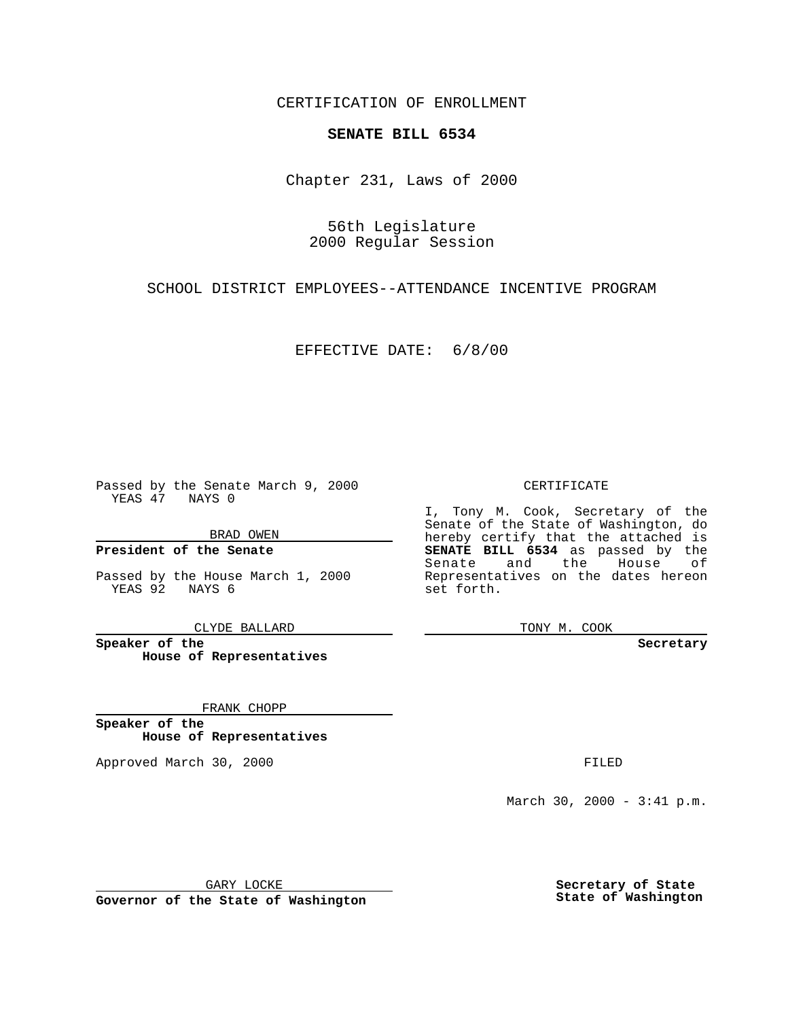CERTIFICATION OF ENROLLMENT

## **SENATE BILL 6534**

Chapter 231, Laws of 2000

56th Legislature 2000 Regular Session

SCHOOL DISTRICT EMPLOYEES--ATTENDANCE INCENTIVE PROGRAM

EFFECTIVE DATE: 6/8/00

Passed by the Senate March 9, 2000 YEAS 47 NAYS 0

BRAD OWEN

**President of the Senate**

Passed by the House March 1, 2000 YEAS 92 NAYS 6

CLYDE BALLARD

**Speaker of the House of Representatives**

FRANK CHOPP

**Speaker of the House of Representatives**

Approved March 30, 2000 FILED

CERTIFICATE

I, Tony M. Cook, Secretary of the Senate of the State of Washington, do hereby certify that the attached is **SENATE BILL 6534** as passed by the Senate and the House of Representatives on the dates hereon set forth.

TONY M. COOK

**Secretary**

March 30, 2000 - 3:41 p.m.

GARY LOCKE

**Governor of the State of Washington**

**Secretary of State State of Washington**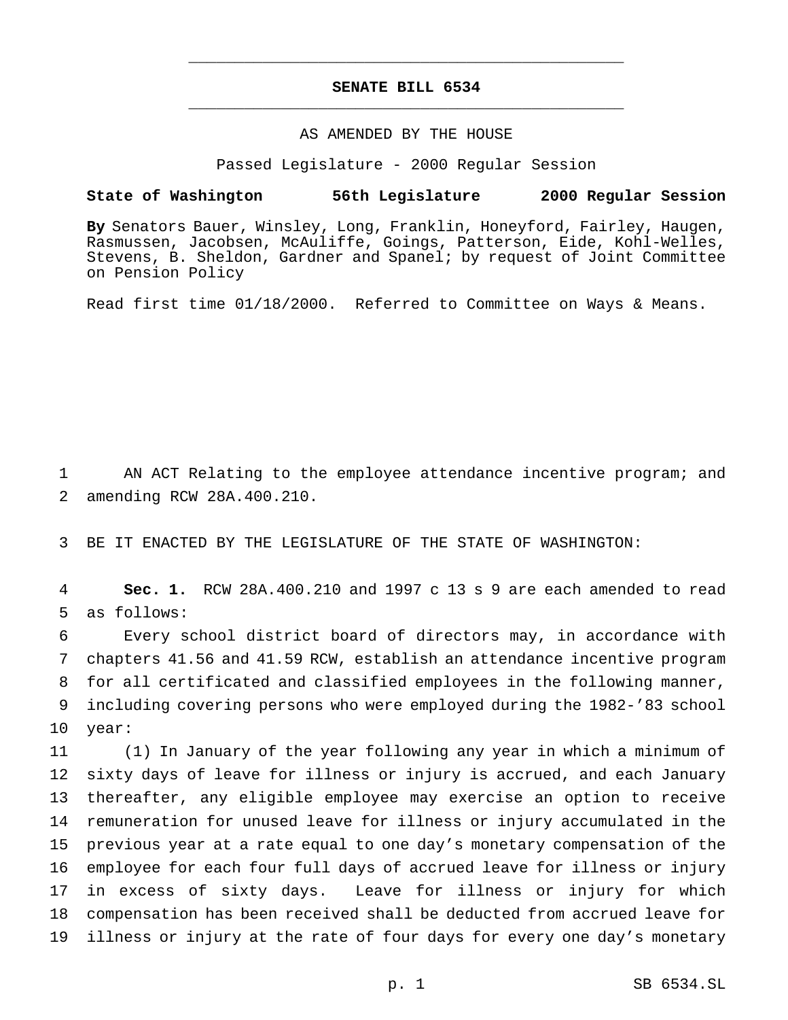## **SENATE BILL 6534** \_\_\_\_\_\_\_\_\_\_\_\_\_\_\_\_\_\_\_\_\_\_\_\_\_\_\_\_\_\_\_\_\_\_\_\_\_\_\_\_\_\_\_\_\_\_\_

\_\_\_\_\_\_\_\_\_\_\_\_\_\_\_\_\_\_\_\_\_\_\_\_\_\_\_\_\_\_\_\_\_\_\_\_\_\_\_\_\_\_\_\_\_\_\_

## AS AMENDED BY THE HOUSE

Passed Legislature - 2000 Regular Session

## **State of Washington 56th Legislature 2000 Regular Session**

**By** Senators Bauer, Winsley, Long, Franklin, Honeyford, Fairley, Haugen, Rasmussen, Jacobsen, McAuliffe, Goings, Patterson, Eide, Kohl-Welles, Stevens, B. Sheldon, Gardner and Spanel; by request of Joint Committee on Pension Policy

Read first time 01/18/2000. Referred to Committee on Ways & Means.

 AN ACT Relating to the employee attendance incentive program; and amending RCW 28A.400.210.

BE IT ENACTED BY THE LEGISLATURE OF THE STATE OF WASHINGTON:

 **Sec. 1.** RCW 28A.400.210 and 1997 c 13 s 9 are each amended to read as follows:

 Every school district board of directors may, in accordance with chapters 41.56 and 41.59 RCW, establish an attendance incentive program for all certificated and classified employees in the following manner, including covering persons who were employed during the 1982-'83 school year:

 (1) In January of the year following any year in which a minimum of sixty days of leave for illness or injury is accrued, and each January thereafter, any eligible employee may exercise an option to receive remuneration for unused leave for illness or injury accumulated in the previous year at a rate equal to one day's monetary compensation of the employee for each four full days of accrued leave for illness or injury in excess of sixty days. Leave for illness or injury for which compensation has been received shall be deducted from accrued leave for illness or injury at the rate of four days for every one day's monetary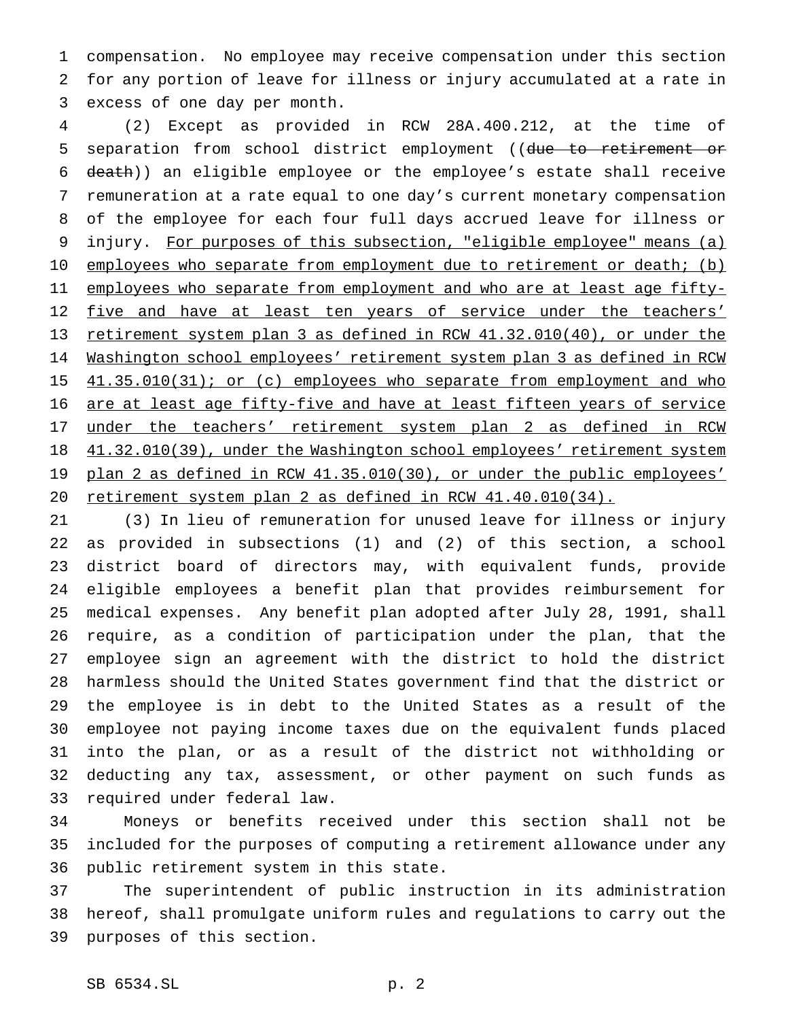compensation. No employee may receive compensation under this section for any portion of leave for illness or injury accumulated at a rate in excess of one day per month.

 (2) Except as provided in RCW 28A.400.212, at the time of 5 separation from school district employment ((due to retirement or death)) an eligible employee or the employee's estate shall receive remuneration at a rate equal to one day's current monetary compensation of the employee for each four full days accrued leave for illness or injury. For purposes of this subsection, "eligible employee" means (a) 10 employees who separate from employment due to retirement or death; (b) 11 employees who separate from employment and who are at least age fifty-12 five and have at least ten years of service under the teachers' retirement system plan 3 as defined in RCW 41.32.010(40), or under the Washington school employees' retirement system plan 3 as defined in RCW 15 41.35.010(31); or (c) employees who separate from employment and who 16 are at least age fifty-five and have at least fifteen years of service under the teachers' retirement system plan 2 as defined in RCW 18 41.32.010(39), under the Washington school employees' retirement system plan 2 as defined in RCW 41.35.010(30), or under the public employees' retirement system plan 2 as defined in RCW 41.40.010(34).

 (3) In lieu of remuneration for unused leave for illness or injury as provided in subsections (1) and (2) of this section, a school district board of directors may, with equivalent funds, provide eligible employees a benefit plan that provides reimbursement for medical expenses. Any benefit plan adopted after July 28, 1991, shall require, as a condition of participation under the plan, that the employee sign an agreement with the district to hold the district harmless should the United States government find that the district or the employee is in debt to the United States as a result of the employee not paying income taxes due on the equivalent funds placed into the plan, or as a result of the district not withholding or deducting any tax, assessment, or other payment on such funds as required under federal law.

 Moneys or benefits received under this section shall not be included for the purposes of computing a retirement allowance under any public retirement system in this state.

 The superintendent of public instruction in its administration hereof, shall promulgate uniform rules and regulations to carry out the purposes of this section.